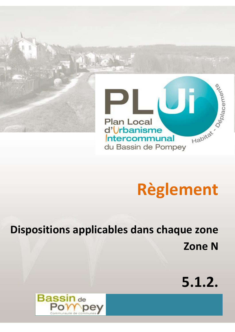

# **Règlement**

**Dispositions applicables dans chaque zone Zone N** 

**5.1.2.**

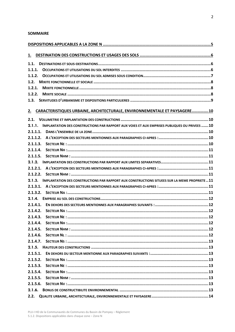#### **SOMMAIRE**

| <u>1.</u> |                                                                                                      |  |  |  |  |
|-----------|------------------------------------------------------------------------------------------------------|--|--|--|--|
| 1.1.      |                                                                                                      |  |  |  |  |
| 1.1.1.    |                                                                                                      |  |  |  |  |
| 1.1.2.    |                                                                                                      |  |  |  |  |
| 1.2.      |                                                                                                      |  |  |  |  |
| 1.2.1.    |                                                                                                      |  |  |  |  |
| 1.2.2.    |                                                                                                      |  |  |  |  |
| 1.3.      |                                                                                                      |  |  |  |  |
| 2.        | CARACTERISTIQUES URBAINE, ARCHITECTURALE, ENVIRONNEMENTALE ET PAYSAGERE10                            |  |  |  |  |
| 2.1.      |                                                                                                      |  |  |  |  |
|           | 2.1.1. IMPLANTATION DES CONSTRUCTIONS PAR RAPPORT AUX VOIES ET AUX EMPRISES PUBLIQUES OU PRIVEES  10 |  |  |  |  |
| 2.1.1.1.  |                                                                                                      |  |  |  |  |
| 2.1.1.2.  |                                                                                                      |  |  |  |  |
| 2.1.1.3.  |                                                                                                      |  |  |  |  |
| 2.1.1.4.  |                                                                                                      |  |  |  |  |
| 2.1.1.5.  |                                                                                                      |  |  |  |  |
| 2.1.2.    |                                                                                                      |  |  |  |  |
| 2.1.2.1.  |                                                                                                      |  |  |  |  |
| 2.1.2.2.  |                                                                                                      |  |  |  |  |
| 2.1.3.    | IMPLANTATION DES CONSTRUCTIONS PAR RAPPORT AUX CONSTRUCTIONS SITUEES SUR LA MEME PROPRIETE  11       |  |  |  |  |
| 2.1.3.1.  |                                                                                                      |  |  |  |  |
| 2.1.3.2.  |                                                                                                      |  |  |  |  |
| 2.1.4.    |                                                                                                      |  |  |  |  |
| 2.1.4.1.  |                                                                                                      |  |  |  |  |
| 2.1.4.2.  |                                                                                                      |  |  |  |  |
| 2.1.4.3.  |                                                                                                      |  |  |  |  |
| 2.1.4.4.  |                                                                                                      |  |  |  |  |
| 2.1.4.5.  |                                                                                                      |  |  |  |  |
| 2.1.4.6.  |                                                                                                      |  |  |  |  |
| 2.1.4.7.  |                                                                                                      |  |  |  |  |
| 2.1.5.    |                                                                                                      |  |  |  |  |
| 2.1.5.1.  |                                                                                                      |  |  |  |  |
| 2.1.5.2.  |                                                                                                      |  |  |  |  |
| 2.1.5.3.  |                                                                                                      |  |  |  |  |
| 2.1.5.4.  |                                                                                                      |  |  |  |  |
| 2.1.5.5.  |                                                                                                      |  |  |  |  |
| 2.1.5.6.  |                                                                                                      |  |  |  |  |
| 2.1.6.    |                                                                                                      |  |  |  |  |
| 2.2.      |                                                                                                      |  |  |  |  |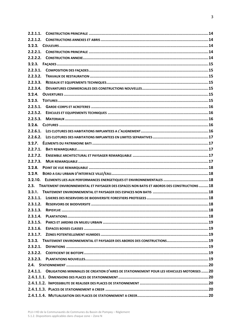| 2.2.1.1. |                                                                                              |  |
|----------|----------------------------------------------------------------------------------------------|--|
| 2.2.1.2. |                                                                                              |  |
|          |                                                                                              |  |
| 2.2.2.1. |                                                                                              |  |
| 2.2.2.2. |                                                                                              |  |
|          |                                                                                              |  |
| 2.2.3.1. |                                                                                              |  |
| 2.2.3.2. |                                                                                              |  |
| 2.2.3.3. |                                                                                              |  |
| 2.2.3.4. |                                                                                              |  |
| 2.2.4.   |                                                                                              |  |
| 2.2.5.   |                                                                                              |  |
| 2.2.5.1. |                                                                                              |  |
| 2.2.5.2. |                                                                                              |  |
| 2.2.5.3. |                                                                                              |  |
|          |                                                                                              |  |
| 2.2.6.1. |                                                                                              |  |
| 2.2.6.2. |                                                                                              |  |
|          |                                                                                              |  |
| 2.2.7.1. |                                                                                              |  |
| 2.2.7.2. |                                                                                              |  |
| 2.2.7.3. |                                                                                              |  |
| 2.2.8.   |                                                                                              |  |
| 2.2.9.   |                                                                                              |  |
| 2.2.10.  | ELEMENTS LIES AUX PERFORMANCES ENERGETIQUES ET ENVIRONNEMENTALES  18                         |  |
| 2.3.     | TRAITEMENT ENVIRONNEMENTAL ET PAYSAGER DES ESPACES NON BATIS ET ABORDS DES CONSTRUCTIONS  18 |  |
| 2.3.1.   |                                                                                              |  |
|          |                                                                                              |  |
| 2.3.1.2. |                                                                                              |  |
| 2.3.1.3. |                                                                                              |  |
| 2.3.1.4. |                                                                                              |  |
| 2.3.1.5. |                                                                                              |  |
| 2.3.1.6. |                                                                                              |  |
| 2.3.1.7. |                                                                                              |  |
|          | 2.3.2. TRAITEMENT ENVIRONNEMENTAL ET PAYSAGER DES ABORDS DES CONSTRUCTIONS19                 |  |
| 2.3.2.1. |                                                                                              |  |
| 2.3.2.2. |                                                                                              |  |
| 2.3.2.3. |                                                                                              |  |
|          |                                                                                              |  |
| 2.4.1.1. | OBLIGATIONS MINIMALES DE CREATION D'AIRES DE STATIONNEMENT POUR LES VEHICULES MOTORISES  20  |  |
|          |                                                                                              |  |
|          |                                                                                              |  |
|          |                                                                                              |  |
|          |                                                                                              |  |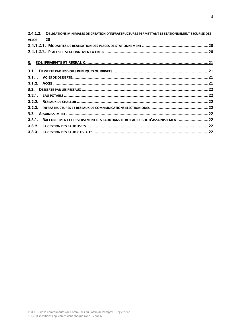|              | 2.4.1.2. OBLIGATIONS MINIMALES DE CREATION D'INFRASTRUCTURES PERMETTANT LE STATIONNEMENT SECURISE DES |  |
|--------------|-------------------------------------------------------------------------------------------------------|--|
| <b>VELOS</b> | 20                                                                                                    |  |
|              |                                                                                                       |  |
|              |                                                                                                       |  |
|              |                                                                                                       |  |
|              |                                                                                                       |  |
|              |                                                                                                       |  |
|              |                                                                                                       |  |
|              |                                                                                                       |  |
|              |                                                                                                       |  |
|              |                                                                                                       |  |
|              |                                                                                                       |  |
| 3.3.         |                                                                                                       |  |
| 3.3.1.       | RACCORDEMENT ET DEVERSEMENT DES EAUX DANS LE RESEAU PUBLIC D'ASSAINISSEMENT 22                        |  |
|              |                                                                                                       |  |
|              |                                                                                                       |  |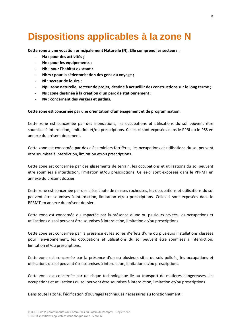# <span id="page-4-0"></span>**Dispositions applicables à la zone N**

**Cette zone a une vocation principalement Naturelle (N). Elle comprend les secteurs :**

- **Na : pour des activités ;**
- **Ne : pour les équipements ;**
- **Nh : pour l'habitat existant ;**
- **Nhm : pour la sédentarisation des gens du voyage ;**
- **Nl : secteur de loisirs ;**
- **Np : zone naturelle, secteur de projet, destiné à accueillir des constructions sur le long terme ;**
- **Ns : zone destinée à la création d'un parc de stationnement ;**
- **Nv : concernant des vergers et jardins.**

#### **Cette zone est concernée par une orientation d'aménagement et de programmation.**

Cette zone est concernée par des inondations, les occupations et utilisations du sol peuvent être soumises à interdiction, limitation et/ou prescriptions. Celles-ci sont exposées dans le PPRI ou le PSS en annexe du présent document.

Cette zone est concernée par des aléas miniers ferrifères, les occupations et utilisations du sol peuvent être soumises à interdiction, limitation et/ou prescriptions.

Cette zone est concernée par des glissements de terrain, les occupations et utilisations du sol peuvent être soumises à interdiction, limitation et/ou prescriptions. Celles-ci sont exposées dans le PPRMT en annexe du présent dossier.

Cette zone est concernée par des aléas chute de masses rocheuses, les occupations et utilisations du sol peuvent être soumises à interdiction, limitation et/ou prescriptions. Celles-ci sont exposées dans le PPRMT en annexe du présent dossier.

Cette zone est concernée ou impactée par la présence d'une ou plusieurs cavités, les occupations et utilisations du sol peuvent être soumises à interdiction, limitation et/ou prescriptions.

Cette zone est concernée par la présence et les zones d'effets d'une ou plusieurs installations classées pour l'environnement, les occupations et utilisations du sol peuvent être soumises à interdiction, limitation et/ou prescriptions.

Cette zone est concernée par la présence d'un ou plusieurs sites ou sols pollués, les occupations et utilisations du sol peuvent être soumises à interdiction, limitation et/ou prescriptions.

Cette zone est concernée par un risque technologique lié au transport de matières dangereuses, les occupations et utilisations du sol peuvent être soumises à interdiction, limitation et/ou prescriptions.

Dans toute la zone, l'édification d'ouvrages techniques nécessaires au fonctionnement :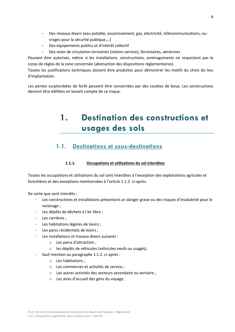- Des réseaux divers (eau potable, assainissement, gaz, électricité, télécommunications, ouvrages pour la sécurité publique,…)
- Des équipements publics et d'intérêt collectif
- Des voies de circulation terrestres (station-service), ferroviaires, aériennes

Peuvent être autorisés, même si les installations, constructions, aménagements ne respectent pas le corps de règles de la zone concernée (abstraction des dispositions réglementaires).

Toutes les justifications techniques doivent être produites pour démontrer les motifs du choix du lieu d'implantation.

<span id="page-5-0"></span>Les pentes surplombées de forêt peuvent être concernées par des coulées de boue. Les constructions devront être édifiées en tenant compte de ce risque.

# **1. Destination des constructions et usages des sols**

### <span id="page-5-1"></span>**1.1. Destinations et sous-destinations**

#### **1.1.1. Occupations et utilisations du sol interdites**

<span id="page-5-2"></span>Toutes les occupations et utilisations du sol sont interdites à l'exception des exploitations agricoles et forestières et des exceptions mentionnées à l'article 1.1.2. ci-après.

De sorte que sont interdits :

- Les constructions et installations présentant un danger grave ou des risques d'insalubrité pour le voisinage ;
- Les dépôts de déchets à l'air libre ;
- Les carrières ;
- Les habitations légères de loisirs ;
- Les parcs résidentiels de loisirs ;
- Les installations et travaux divers suivants :
	- o Les parcs d'attraction ;
	- o les dépôts de véhicules (véhicules neufs ou usagés).
	- Sauf mention au paragraphe 1.1.2. ci-après :
		- o Les habitations ;
		- o Les commerces et activités de service ;
		- o Les autres activités des secteurs secondaire ou tertiaire ;
		- o Les aires d'accueil des gens du voyage.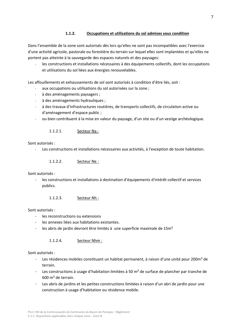#### **1.1.2. Occupations et utilisations du sol admises sous condition**

<span id="page-6-0"></span>Dans l'ensemble de la zone sont autorisés dès lors qu'elles ne sont pas incompatibles avec l'exercice d'une activité agricole, pastorale ou forestière du terrain sur lequel elles sont implantées et qu'elles ne portent pas atteinte à la sauvegarde des espaces naturels et des paysages:

- les constructions et installations nécessaires à des équipements collectifs, dont les occupations et utilisations du sol liées aux énergies renouvelables.

Les affouillements et exhaussements de sol sont autorisés à condition d'être liés, soit :

- aux occupations ou utilisations du sol autorisées sur la zone ;
- à des aménagements paysagers ;
- à des aménagements hydrauliques ;
- à des travaux d'infrastructures routières, de transports collectifs, de circulation active ou d'aménagement d'espace public ;
- ou bien contribuent à la mise en valeur du paysage, d'un site ou d'un vestige archéologique.

#### 1.1.2.1. Secteur Na :

#### Sont autorisés :

- Les constructions et installations nécessaires aux activités, à l'exception de toute habitation.

1.1.2.2. Secteur Ne :

Sont autorisés :

- les constructions et installations à destination d'équipements d'intérêt collectif et services publics.

1.1.2.3. Secteur Nh :

#### Sont autorisés :

- les reconstructions ou extensions
- les annexes liées aux habitations existantes.
- les abris de jardin devront être limités à une superficie maximale de 15m<sup>2</sup>

1.1.2.4. Secteur Nhm :

#### Sont autorisés :

- Les résidences mobiles constituant un habitat permanent, à raison d'une unité pour 200m<sup>2</sup> de terrain.
- Les constructions à usage d'habitation limitées à 50 m² de surface de plancher par tranche de 600 m² de terrain.
- Les abris de jardins et les petites constructions limitées à raison d'un abri de jardin pour une construction à usage d'habitation ou résidence mobile.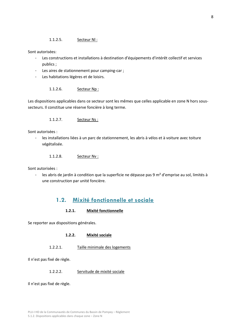Sont autorisées:

- Les constructions et installations à destination d'équipements d'intérêt collectif et services publics ;
- Les aires de stationnement pour camping-car ;
- Les habitations légères et de loisirs.

1.1.2.6. Secteur Np :

Les dispositions applicables dans ce secteur sont les mêmes que celles applicable en zone N hors soussecteurs. Il constitue une réserve foncière à long terme.

#### 1.1.2.7. Secteur Ns :

Sont autorisées :

- les installations liées à un parc de stationnement, les abris à vélos et à voiture avec toiture végétalisée.

1.1.2.8. Secteur Nv :

Sont autorisées :

- les abris de jardin à condition que la superficie ne dépasse pas 9 m² d'emprise au sol, limités à une construction par unité foncière.

# **1.2. Mixité fonctionnelle et sociale**

#### **1.2.1. Mixité fonctionnelle**

<span id="page-7-2"></span><span id="page-7-1"></span><span id="page-7-0"></span>Se reporter aux dispositions générales.

#### **1.2.2. Mixité sociale**

1.2.2.1. Taille minimale des logements

Il n'est pas fixé de règle.

#### 1.2.2.2. Servitude de mixité sociale

Il n'est pas fixé de règle.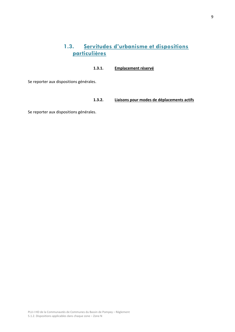# **1.3. Servitudes d'urbanisme et dispositions particulières**

#### **1.3.1. Emplacement réservé**

<span id="page-8-0"></span>Se reporter aux dispositions générales.

#### **1.3.2. Liaisons pour modes de déplacements actifs**

Se reporter aux dispositions générales.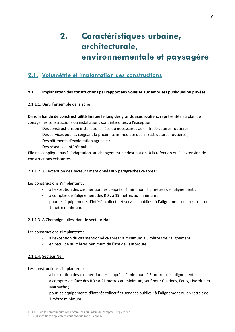# <span id="page-9-0"></span>**2. Caractéristiques urbaine, architecturale, environnementale et paysagère**

# <span id="page-9-1"></span>**2.1. Volumétrie et implantation des constructions**

#### <span id="page-9-2"></span>**2.1.1. Implantation des constructions par rapport aux voies et aux emprises publiques ou privées**

#### <span id="page-9-3"></span>2.1.1.1. Dans l'ensemble de la zone

Dans la **bande de constructibilité limitée le long des grands axes routiers**, représentée au plan de zonage, les constructions ou installations sont interdites, à l'exception :

- Des constructions ou installations liées ou nécessaires aux infrastructures routières ;
- Des services publics exigeant la proximité immédiate des infrastructures routières ;
- Des bâtiments d'exploitation agricole ;
- Des réseaux d'intérêt public.

Elle ne s'applique pas à l'adaptation, au changement de destination, à la réfection ou à l'extension de constructions existantes.

#### <span id="page-9-4"></span>2.1.1.2. A l'exception des secteurs mentionnés aux paragraphes ci-après :

Les constructions s'implantent :

- à l'exception des cas mentionnés ci-après : à minimum à 5 mètres de l'alignement ;
- à compter de l'alignement des RD : à 19 mètres au minimum ;
- pour les équipements d'intérêt collectif et services publics : à l'alignement ou en retrait de 1 mètre minimum.

#### 2.1.1.3. A Champigneulles, dans le secteur Na :

Les constructions s'implantent :

- à l'exception du cas mentionné ci-après : à minimum à 5 mètres de l'alignement ;
- en recul de 40 mètres minimum de l'axe de l'autoroute.

#### <span id="page-9-5"></span>2.1.1.4. Secteur Ne :

Les constructions s'implantent :

- à l'exception des cas mentionnés ci-après : à minimum à 5 mètres de l'alignement ;
- à compter de l'axe des RD : à 21 mètres au minimum, sauf pour Custines, Faulx, Liverdun et Marbache ;
- pour les équipements d'intérêt collectif et services publics : à l'alignement ou en retrait de 1 mètre minimum.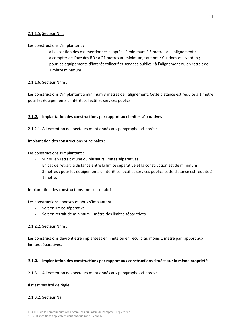#### <span id="page-10-0"></span>2.1.1.5. Secteur Nh :

Les constructions s'implantent :

- à l'exception des cas mentionnés ci-après : à minimum à 5 mètres de l'alignement ;
- à compter de l'axe des RD : à 21 mètres au minimum, sauf pour Custines et Liverdun ;
- pour les équipements d'intérêt collectif et services publics : à l'alignement ou en retrait de 1 mètre minimum.

#### <span id="page-10-1"></span>2.1.1.6. Secteur Nhm :

Les constructions s'implantent à minimum 3 mètres de l'alignement. Cette distance est réduite à 1 mètre pour les équipements d'intérêt collectif et services publics.

#### <span id="page-10-2"></span>**2.1.2. Implantation des constructions par rapport aux limites séparatives**

#### <span id="page-10-3"></span>2.1.2.1. A l'exception des secteurs mentionnés aux paragraphes ci-après :

#### Implantation des constructions principales :

Les constructions s'implantent :

- Sur ou en retrait d'une ou plusieurs limites séparatives ;
- En cas de retrait la distance entre la limite séparative et la construction est de minimum 3 mètres ; pour les équipements d'intérêt collectif et services publics cette distance est réduite à 1 mètre.

#### Implantation des constructions annexes et abris :

Les constructions annexes et abris s'implantent :

- Soit en limite séparative
- Soit en retrait de minimum 1 mètre des limites séparatives.

#### <span id="page-10-4"></span>2.1.2.2. Secteur Nhm :

Les constructions devront être implantées en limite ou en recul d'au moins 1 mètre par rapport aux limites séparatives.

#### <span id="page-10-5"></span>**2.1.3. Implantation des constructions par rapport aux constructions situées sur la même propriété**

#### <span id="page-10-6"></span>2.1.3.1. A l'exception des secteurs mentionnés aux paragraphes ci-après :

Il n'est pas fixé de règle.

#### <span id="page-10-7"></span>2.1.3.2. Secteur Na :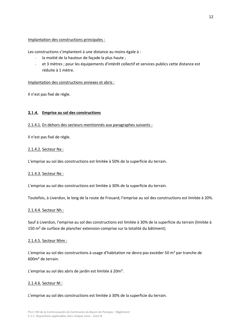#### Implantation des constructions principales :

Les constructions s'implantent à une distance au moins égale à :

- la moitié de la hauteur de façade la plus haute ;
- et 3 mètres ; pour les équipements d'intérêt collectif et services publics cette distance est réduite à 1 mètre.

#### Implantation des constructions annexes et abris :

Il n'est pas fixé de règle.

#### <span id="page-11-0"></span>**2.1.4. Emprise au sol des constructions**

#### <span id="page-11-1"></span>2.1.4.1. En dehors des secteurs mentionnés aux paragraphes suivants :

Il n'est pas fixé de règle.

#### <span id="page-11-2"></span>2.1.4.2. Secteur Na :

L'emprise au sol des constructions est limitée à 50% de la superficie du terrain.

#### <span id="page-11-3"></span>2.1.4.3. Secteur Ne :

L'emprise au sol des constructions est limitée à 30% de la superficie du terrain.

Toutefois, à Liverdun, le long de la route de Frouard, l'emprise au sol des constructions est limitée à 20%.

#### <span id="page-11-4"></span>2.1.4.4. Secteur Nh :

Sauf à Liverdun, l'emprise au sol des constructions est limitée à 30% de la superficie du terrain (limitée à 150 m² de surface de plancher extension comprise sur la totalité du bâtiment).

#### <span id="page-11-5"></span>2.1.4.5. Secteur Nhm :

L'emprise au sol des constructions à usage d'habitation ne devra pas excéder 50 m<sup>2</sup> par tranche de 600m² de terrain.

L'emprise au sol des abris de jardin est limitée à 20m².

#### <span id="page-11-6"></span>2.1.4.6. Secteur Nl :

L'emprise au sol des constructions est limitée à 30% de la superficie du terrain.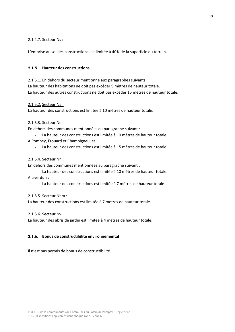#### <span id="page-12-0"></span>2.1.4.7. Secteur Ns :

L'emprise au sol des constructions est limitée à 40% de la superficie du terrain.

#### <span id="page-12-1"></span>**2.1.5. Hauteur des constructions**

#### <span id="page-12-2"></span>2.1.5.1. En dehors du secteur mentionné aux paragraphes suivants :

La hauteur des habitations ne doit pas excéder 9 mètres de hauteur totale. La hauteur des autres constructions ne doit pas excéder 15 mètres de hauteur totale.

#### <span id="page-12-3"></span>2.1.5.2. Secteur Na :

La hauteur des constructions est limitée à 10 mètres de hauteur totale.

#### <span id="page-12-4"></span>2.1.5.3. Secteur Ne :

En dehors des communes mentionnées au paragraphe suivant :

- La hauteur des constructions est limitée à 10 mètres de hauteur totale.

#### A Pompey, Frouard et Champigneulles :

- La hauteur des constructions est limitée à 15 mètres de hauteur totale.

#### <span id="page-12-5"></span>2.1.5.4. Secteur Nh :

En dehors des communes mentionnées au paragraphe suivant :

- La hauteur des constructions est limitée à 10 mètres de hauteur totale. A Liverdun :
	- La hauteur des constructions est limitée à 7 mètres de hauteur totale.

#### <span id="page-12-6"></span>2.1.5.5. Secteur Nhm :

La hauteur des constructions est limitée à 7 mètres de hauteur totale.

#### <span id="page-12-7"></span>2.1.5.6. Secteur Nv :

<span id="page-12-8"></span>La hauteur des abris de jardin est limitée à 4 mètres de hauteur totale.

#### **2.1.6. Bonus de constructibilité environnemental**

Il n'est pas permis de bonus de constructibilité.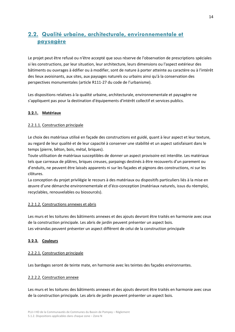# <span id="page-13-0"></span>**2.2. Qualité urbaine, architecturale, environnementale et paysagère**

Le projet peut être refusé ou n'être accepté que sous réserve de l'observation de prescriptions spéciales si les constructions, par leur situation, leur architecture, leurs dimensions ou l'aspect extérieur des bâtiments ou ouvrages à édifier ou à modifier, sont de nature à porter atteinte au caractère ou à l'intérêt des lieux avoisinants, aux sites, aux paysages naturels ou urbains ainsi qu'à la conservation des perspectives monumentales (article R111-27 du code de l'urbanisme).

Les dispositions relatives à la qualité urbaine, architecturale, environnementale et paysagère ne s'appliquent pas pour la destination d'équipements d'intérêt collectif et services publics.

#### **2.2.1. Matériaux**

#### <span id="page-13-1"></span>2.2.1.1. Construction principale

Le choix des matériaux utilisé en façade des constructions est guidé, quant à leur aspect et leur texture, au regard de leur qualité et de leur capacité à conserver une stabilité et un aspect satisfaisant dans le temps (pierre, bêton, bois, métal, briques).

Toute utilisation de matériaux susceptibles de donner un aspect provisoire est interdite. Les matériaux tels que carreaux de plâtres, briques creuses, parpaings destinés à être recouverts d'un parement ou d'enduits, ne peuvent être laissés apparents ni sur les façades et pignons des constructions, ni sur les clôtures.

La conception du projet privilégie le recours à des matériaux ou dispositifs particuliers liés à la mise en œuvre d'une démarche environnementale et d'éco-conception (matériaux naturels, issus du réemploi, recyclables, renouvelables ou biosourcés).

#### <span id="page-13-2"></span>2.2.1.2. Constructions annexes et abris

Les murs et les toitures des bâtiments annexes et des ajouts devront être traités en harmonie avec ceux de la construction principale. Les abris de jardin peuvent présenter un aspect bois. Les vérandas peuvent présenter un aspect différent de celui de la construction principale

#### <span id="page-13-3"></span>**2.2.2. Couleurs**

#### <span id="page-13-4"></span>2.2.2.1. Construction principale

Les bardages seront de teinte mate, en harmonie avec les teintes des façades environnantes.

#### <span id="page-13-5"></span>2.2.2.2. Construction annexe

Les murs et les toitures des bâtiments annexes et des ajouts devront être traités en harmonie avec ceux de la construction principale. Les abris de jardin peuvent présenter un aspect bois.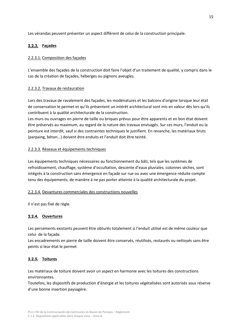Les vérandas peuvent présenter un aspect différent de celui de la construction principale.

#### <span id="page-14-0"></span>**2.2.3. Façades**

#### <span id="page-14-1"></span>2.2.3.1. Composition des façades

L'ensemble des façades de la construction doit faire l'objet d'un traitement de qualité, y compris dans le cas de la création de façades, héberges ou pignons aveugles.

#### <span id="page-14-2"></span>2.2.3.2. Travaux de restauration

Lors des travaux de ravalement des façades, les modénatures et les balcons d'origine lorsque leur état de conservation le permet et qu'ils présentent un intérêt architectural sont mis en valeur dès lors qu'ils contribuent à la qualité architecturale de la construction.

Les murs ou ouvrages en pierre de taille ou briques prévus pour être apparents et en bon état doivent être préservés au maximum, au regard de la nature des travaux envisagés. Sur ces murs, l'enduit ou la peinture est interdit, sauf si des contraintes techniques le justifient. En revanche, les matériaux bruts (parpaing, béton...) doivent être enduits et l'enduit doit être teinté.

#### <span id="page-14-3"></span>2.2.3.3. Réseaux et équipements techniques

Les équipements techniques nécessaires au fonctionnement du bâti, tels que les systèmes de refroidissement, chauffage, système d'occultation, descente d'eaux pluviales, colonnes sèches, sont intégrés à la construction sans émergence en façade sur rue ou avec une émergence réduite compte tenu des équipements, de manière à ne pas porter atteinte à la qualité architecturale du projet.

#### <span id="page-14-4"></span>2.2.3.4. Devantures commerciales des constructions nouvelles

Il n'est pas fixé de règle.

#### <span id="page-14-5"></span>**2.2.4. Ouvertures**

Les percements existants peuvent être obturés totalement si l'enduit utilisé est de même couleur que celui de la façade.

Les encadrements en pierre de taille doivent être conservés, réutilisés, restaurés ou nettoyés sans être peints si leur état le permet

#### <span id="page-14-6"></span>**2.2.5. Toitures**

Les matériaux de toiture doivent avoir un aspect en harmonie avec les toitures des constructions environnantes.

Toutefois, les dispositifs de production d'énergie et les toitures végétalisées sont autorisés sous réserve d'une bonne insertion paysagère.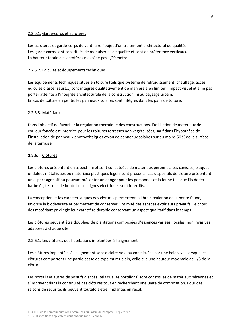#### <span id="page-15-0"></span>2.2.5.1. Garde-corps et acrotères

Les acrotères et garde-corps doivent faire l'objet d'un traitement architectural de qualité. Les garde-corps sont constitués de menuiseries de qualité et sont de préférence verticaux. La hauteur totale des acrotères n'excède pas 1,20 mètre.

#### <span id="page-15-1"></span>2.2.5.2. Edicules et équipements techniques

Les équipements techniques situés en toiture (tels que système de refroidissement, chauffage, accès, édicules d'ascenseurs…) sont intégrés qualitativement de manière à en limiter l'impact visuel et à ne pas porter atteinte à l'intégrité architecturale de la construction, ni au paysage urbain. En cas de toiture en pente, les panneaux solaires sont intégrés dans les pans de toiture.

#### <span id="page-15-2"></span>2.2.5.3. Matériaux

Dans l'objectif de favoriser la régulation thermique des constructions, l'utilisation de matériaux de couleur foncée est interdite pour les toitures terrasses non végétalisées, sauf dans l'hypothèse de l'installation de panneaux photovoltaïques et/ou de panneaux solaires sur au moins 50 % de la surface de la terrasse

#### <span id="page-15-3"></span>**2.2.6. Clôtures**

Les clôtures présentent un aspect fini et sont constituées de matériaux pérennes. Les canisses, plaques ondulées métalliques ou matériaux plastiques légers sont proscrits. Les dispositifs de clôture présentant un aspect agressif ou pouvant présenter un danger pour les personnes et la faune tels que fils de fer barbelés, tessons de bouteilles ou lignes électriques sont interdits.

La conception et les caractéristiques des clôtures permettent la libre circulation de la petite faune, favorise la biodiversité et permettent de conserver l'intimité des espaces extérieurs privatifs. Le choix des matériaux privilégie leur caractère durable conservant un aspect qualitatif dans le temps.

Les clôtures peuvent être doublées de plantations composées d'essences variées, locales, non invasives, adaptées à chaque site.

#### <span id="page-15-4"></span>2.2.6.1. Les clôtures des habitations implantées à l'alignement

Les clôtures implantées à l'alignement sont à claire-voie ou constituées par une haie vive. Lorsque les clôtures comportent une partie basse de type muret plein, celle-ci a une hauteur maximale de 1/3 de la clôture.

Les portails et autres dispositifs d'accès (tels que les portillons) sont constitués de matériaux pérennes et s'inscrivent dans la continuité des clôtures tout en recherchant une unité de composition. Pour des raisons de sécurité, ils peuvent toutefois être implantés en recul.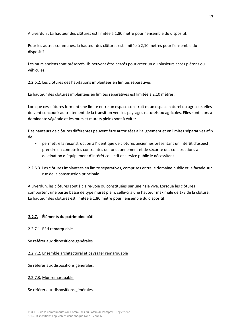A Liverdun : La hauteur des clôtures est limitée à 1,80 mètre pour l'ensemble du dispositif.

Pour les autres communes, la hauteur des clôtures est limitée à 2,10 mètres pour l'ensemble du dispositif.

Les murs anciens sont préservés. Ils peuvent être percés pour créer un ou plusieurs accès piétons ou véhicules.

#### <span id="page-16-0"></span>2.2.6.2. Les clôtures des habitations implantées en limites séparatives

La hauteur des clôtures implantées en limites séparatives est limitée à 2,10 mètres.

Lorsque ces clôtures forment une limite entre un espace construit et un espace naturel ou agricole, elles doivent concourir au traitement de la transition vers les paysages naturels ou agricoles. Elles sont alors à dominante végétale et les murs et murets pleins sont à éviter.

Des hauteurs de clôtures différentes peuvent être autorisées à l'alignement et en limites séparatives afin de :

- permettre la reconstruction à l'identique de clôtures anciennes présentant un intérêt d'aspect ;
- prendre en compte les contraintes de fonctionnement et de sécurité des constructions à destination d'équipement d'intérêt collectif et service public le nécessitant.

#### 2.2.6.3. Les clôtures implantées en limite séparatives, comprises entre le domaine public et la façade sur rue de la construction principale

A Liverdun, les clôtures sont à claire-voie ou constituées par une haie vive. Lorsque les clôtures comportent une partie basse de type muret plein, celle-ci a une hauteur maximale de 1/3 de la clôture. La hauteur des clôtures est limitée à 1,80 mètre pour l'ensemble du dispositif.

#### <span id="page-16-1"></span>**2.2.7. Éléments du patrimoine bâti**

#### <span id="page-16-2"></span>2.2.7.1. Bâti remarquable

Se référer aux dispositions générales.

#### <span id="page-16-3"></span>2.2.7.2. Ensemble architectural et paysager remarquable

Se référer aux dispositions générales.

#### <span id="page-16-4"></span>2.2.7.3. Mur remarquable

Se référer aux dispositions générales.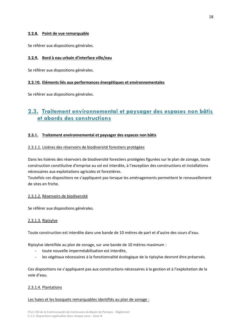#### <span id="page-17-0"></span>**2.2.8. Point de vue remarquable**

Se référer aux dispositions générales.

#### <span id="page-17-1"></span>**2.2.9. Bord à eau urbain d'interface ville/eau**

Se référer aux dispositions générales.

#### <span id="page-17-2"></span>**2.2.10. Eléments liés aux performances énergétiques et environnementales**

Se référer aux dispositions générales.

# <span id="page-17-3"></span>**2.3. Traitement environnemental et paysager des espaces non bâtis et abords des constructions**

#### <span id="page-17-4"></span>**2.3.1. Traitement environnemental et paysager des espaces non bâtis**

#### <span id="page-17-5"></span>2.3.1.1. Lisières des réservoirs de biodiversité forestiers protégées

Dans les lisières des réservoirs de biodiversité forestiers protégées figurées sur le plan de zonage, toute construction constitutive d'emprise au sol est interdite, à l'exception des constructions et installations nécessaires aux exploitations agricoles et forestières.

Toutefois ces dispositions ne s'appliquent pas lorsque les aménagements permettent le renouvellement de sites en friche.

#### <span id="page-17-6"></span>2.3.1.2. Réservoirs de biodiversité

Se référer aux dispositions générales.

#### <span id="page-17-7"></span>2.3.1.3. Ripisylve

Toute construction est interdite dans une bande de 10 mètres de part et d'autre des cours d'eau.

Ripisylve identifiée au plan de zonage, sur une bande de 10 mètres maximum :

- toute nouvelle imperméabilisation est interdite,
- les végétaux nécessaires à la fonctionnalité écologique de la ripisylve devront être préservés.

Ces dispositions ne s'appliquent pas aux constructions nécessaires à la gestion et à l'exploitation de la voie d'eau.

#### <span id="page-17-8"></span>2.3.1.4. Plantations

#### Les haies et les bosquets remarquables identifiés au plan de zonage :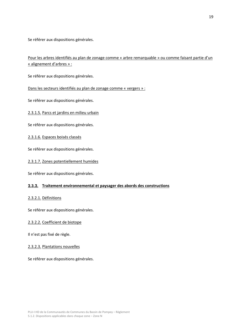Se référer aux dispositions générales.

Pour les arbres identifiés au plan de zonage comme « arbre remarquable » ou comme faisant partie d'un « alignement d'arbres » :

Se référer aux dispositions générales.

Dans les secteurs identifiés au plan de zonage comme « vergers » :

Se référer aux dispositions générales.

<span id="page-18-0"></span>2.3.1.5. Parcs et jardins en milieu urbain

Se référer aux dispositions générales.

#### <span id="page-18-1"></span>2.3.1.6. Espaces boisés classés

Se référer aux dispositions générales.

<span id="page-18-2"></span>2.3.1.7. Zones potentiellement humides

Se référer aux dispositions générales.

#### <span id="page-18-3"></span>**2.3.2. Traitement environnemental et paysager des abords des constructions**

#### <span id="page-18-4"></span>2.3.2.1. Définitions

Se référer aux dispositions générales.

#### <span id="page-18-5"></span>2.3.2.2. Coefficient de biotope

Il n'est pas fixé de règle.

#### <span id="page-18-6"></span>2.3.2.3. Plantations nouvelles

Se référer aux dispositions générales.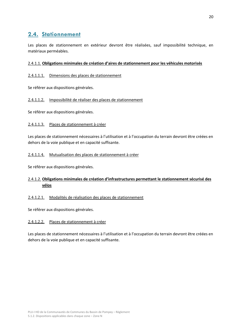# <span id="page-19-0"></span>**2.4. Stationnement**

Les places de stationnement en extérieur devront être réalisées, sauf impossibilité technique, en matériaux perméables.

#### <span id="page-19-1"></span>2.4.1.1. **Obligations minimales de création d'aires de stationnement pour les véhicules motorisés**

#### <span id="page-19-2"></span>2.4.1.1.1. Dimensions des places de stationnement

Se référer aux dispositions générales.

#### <span id="page-19-3"></span>2.4.1.1.2. Impossibilité de réaliser des places de stationnement

Se référer aux dispositions générales.

#### <span id="page-19-4"></span>2.4.1.1.3. Places de stationnement à créer

Les places de stationnement nécessaires à l'utilisation et à l'occupation du terrain devront être créées en dehors de la voie publique et en capacité suffisante.

#### <span id="page-19-5"></span>2.4.1.1.4. Mutualisation des places de stationnement à créer

Se référer aux dispositions générales.

#### <span id="page-19-6"></span>2.4.1.2. **Obligations minimales de création d'infrastructures permettant le stationnement sécurisé des vélos**

#### <span id="page-19-7"></span>2.4.1.2.1. Modalités de réalisation des places de stationnement

Se référer aux dispositions générales.

#### <span id="page-19-8"></span>2.4.1.2.2. Places de stationnement à créer

Les places de stationnement nécessaires à l'utilisation et à l'occupation du terrain devront être créées en dehors de la voie publique et en capacité suffisante.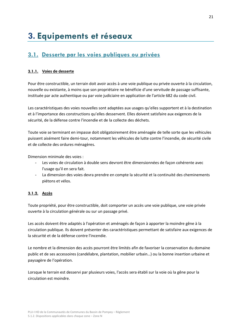# <span id="page-20-1"></span><span id="page-20-0"></span>**3.1. Desserte par les voies publiques ou privées**

#### <span id="page-20-2"></span>**3.1.1. Voies de desserte**

Pour être constructible, un terrain doit avoir accès à une voie publique ou privée ouverte à la circulation, nouvelle ou existante, à moins que son propriétaire ne bénéficie d'une servitude de passage suffisante, instituée par acte authentique ou par voie judiciaire en application de l'article 682 du code civil.

Les caractéristiques des voies nouvelles sont adaptées aux usages qu'elles supportent et à la destination et à l'importance des constructions qu'elles desservent. Elles doivent satisfaire aux exigences de la sécurité, de la défense contre l'incendie et de la collecte des déchets.

Toute voie se terminant en impasse doit obligatoirement être aménagée de telle sorte que les véhicules puissent aisément faire demi-tour, notamment les véhicules de lutte contre l'incendie, de sécurité civile et de collecte des ordures ménagères.

Dimension minimale des voies :

- Les voies de circulation à double sens devront être dimensionnées de façon cohérente avec l'usage qu'il en sera fait.
- La dimension des voies devra prendre en compte la sécurité et la continuité des cheminements piétons et vélos.

#### <span id="page-20-3"></span>**3.1.2. Accès**

Toute propriété, pour être constructible, doit comporter un accès une voie publique, une voie privée ouverte à la circulation générale ou sur un passage privé.

Les accès doivent être adaptés à l'opération et aménagés de façon à apporter la moindre gêne à la circulation publique. Ils doivent présenter des caractéristiques permettant de satisfaire aux exigences de la sécurité et de la défense contre l'incendie.

Le nombre et la dimension des accès pourront être limités afin de favoriser la conservation du domaine public et de ses accessoires (candélabre, plantation, mobilier urbain…) ou la bonne insertion urbaine et paysagère de l'opération.

Lorsque le terrain est desservi par plusieurs voies, l'accès sera établi sur la voie où la gêne pour la circulation est moindre.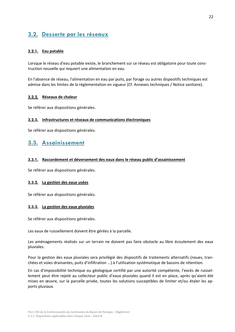# <span id="page-21-0"></span>**3.2. Desserte par les réseaux**

#### <span id="page-21-1"></span>**3.2.1. Eau potable**

Lorsque le réseau d'eau potable existe, le branchement sur ce réseau est obligatoire pour toute construction nouvelle qui requiert une alimentation en eau.

En l'absence de réseau, l'alimentation en eau par puits, par forage ou autres dispositifs techniques est admise dans les limites de la réglementation en vigueur (Cf. Annexes techniques / Notice sanitaire).

#### <span id="page-21-2"></span>**3.2.2. Réseaux de chaleur**

Se référer aux dispositions générales.

#### <span id="page-21-3"></span>**3.2.3. Infrastructures et réseaux de communications électroniques**

Se référer aux dispositions générales.

### <span id="page-21-4"></span>**3.3. Assainissement**

#### <span id="page-21-5"></span>**3.3.1. Raccordement et déversement des eaux dans le réseau public d'assainissement**

Se référer aux dispositions générales.

#### <span id="page-21-6"></span>**3.3.2. La gestion des eaux usées**

Se référer aux dispositions générales.

#### <span id="page-21-7"></span>**3.3.3. La gestion des eaux pluviales**

Se référer aux dispositions générales.

Les eaux de ruissellement doivent être gérées à la parcelle.

Les aménagements réalisés sur un terrain ne doivent pas faire obstacle au libre écoulement des eaux pluviales.

Pour la gestion des eaux pluviales sera privilégié des dispositifs de traitements alternatifs (noues, tranchées et voies drainantes, puits d'infiltration ...) à l'utilisation systématique de bassins de rétention.

En cas d'impossibilité technique ou géologique certifié par une autorité compétente, l'excès de ruissellement peut être rejeté au collecteur public d'eaux pluviales quand il est en place, après qu'aient été mises en œuvre, sur la parcelle privée, toutes les solutions susceptibles de limiter et/ou étaler les apports pluviaux.